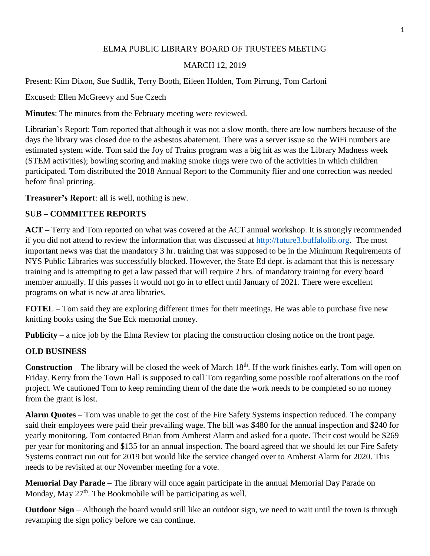# ELMA PUBLIC LIBRARY BOARD OF TRUSTEES MEETING

### MARCH 12, 2019

Present: Kim Dixon, Sue Sudlik, Terry Booth, Eileen Holden, Tom Pirrung, Tom Carloni

Excused: Ellen McGreevy and Sue Czech

**Minutes**: The minutes from the February meeting were reviewed.

Librarian's Report: Tom reported that although it was not a slow month, there are low numbers because of the days the library was closed due to the asbestos abatement. There was a server issue so the WiFi numbers are estimated system wide. Tom said the Joy of Trains program was a big hit as was the Library Madness week (STEM activities); bowling scoring and making smoke rings were two of the activities in which children participated. Tom distributed the 2018 Annual Report to the Community flier and one correction was needed before final printing.

**Treasurer's Report**: all is well, nothing is new.

# **SUB – COMMITTEE REPORTS**

**ACT –** Terry and Tom reported on what was covered at the ACT annual workshop. It is strongly recommended if you did not attend to review the information that was discussed at [http://future3.buffalolib.org.](http://future3.buffalolib.org/) The most important news was that the mandatory 3 hr. training that was supposed to be in the Minimum Requirements of NYS Public Libraries was successfully blocked. However, the State Ed dept. is adamant that this is necessary training and is attempting to get a law passed that will require 2 hrs. of mandatory training for every board member annually. If this passes it would not go in to effect until January of 2021. There were excellent programs on what is new at area libraries.

**FOTEL** – Tom said they are exploring different times for their meetings. He was able to purchase five new knitting books using the Sue Eck memorial money.

**Publicity** – a nice job by the Elma Review for placing the construction closing notice on the front page.

#### **OLD BUSINESS**

**Construction** – The library will be closed the week of March 18<sup>th</sup>. If the work finishes early, Tom will open on Friday. Kerry from the Town Hall is supposed to call Tom regarding some possible roof alterations on the roof project. We cautioned Tom to keep reminding them of the date the work needs to be completed so no money from the grant is lost.

**Alarm Quotes** – Tom was unable to get the cost of the Fire Safety Systems inspection reduced. The company said their employees were paid their prevailing wage. The bill was \$480 for the annual inspection and \$240 for yearly monitoring. Tom contacted Brian from Amherst Alarm and asked for a quote. Their cost would be \$269 per year for monitoring and \$135 for an annual inspection. The board agreed that we should let our Fire Safety Systems contract run out for 2019 but would like the service changed over to Amherst Alarm for 2020. This needs to be revisited at our November meeting for a vote.

**Memorial Day Parade** – The library will once again participate in the annual Memorial Day Parade on Monday, May  $27<sup>th</sup>$ . The Bookmobile will be participating as well.

**Outdoor Sign** – Although the board would still like an outdoor sign, we need to wait until the town is through revamping the sign policy before we can continue.